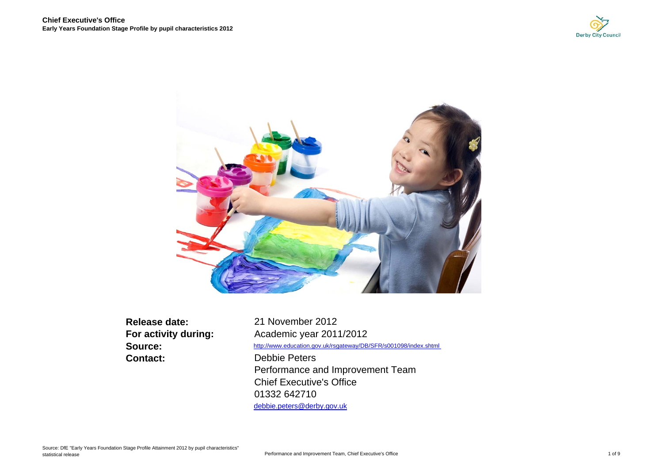



**Release date:Source: Contact:**

**For activity during:** Academic year 2011/2012 Debbie Peters Performance and Improvement Team Chief Executive's Office01332 642710 debbie.peters@derby.gov.uk http://www.education.gov.uk/rsgateway/DB/SFR/s001098/index.shtml 21 November 2012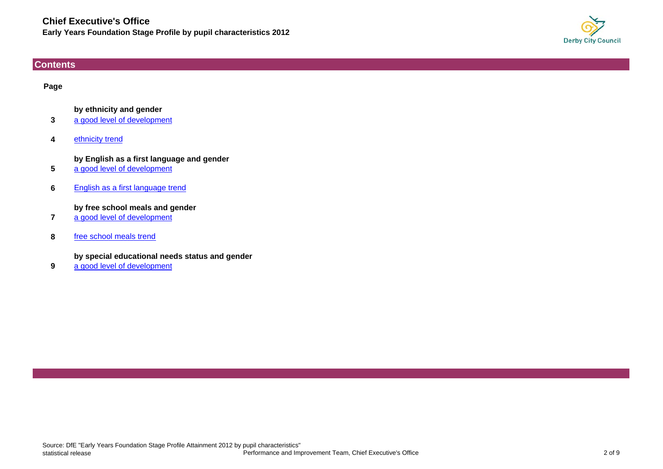

# <span id="page-1-0"></span>**Contents**

# **Page**

# **by ethnicity and gender**

- **3** [a good level of development](#page-2-0)
- **4**[ethnicity trend](#page-3-0)

# **by English as a first language and gender**

- **5**[a good level of development](#page-4-0)
- **6**[English as a first language trend](#page-5-0)

# **by free school meals and gender**

- **7**[a good level of development](#page-6-0)
- **8**[free school meals trend](#page-7-0)

# **by special educational needs status and gender**

**9**[a good level of development](#page-8-0)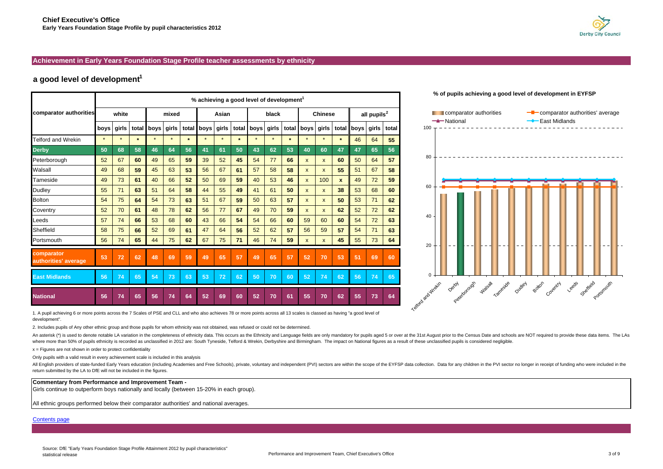### <span id="page-2-0"></span>**Achievement in Early Years Foundation Stage Profile teacher assessments by ethnicity**

# **a good level of development<sup>1</sup>**

|                                    |         | % achieving a good level of development <sup>1</sup> |         |            |         |         |            |         |         |         |         |         |                    |              |              |                         |       |                         |                   | % of pupils achi |        |              |
|------------------------------------|---------|------------------------------------------------------|---------|------------|---------|---------|------------|---------|---------|---------|---------|---------|--------------------|--------------|--------------|-------------------------|-------|-------------------------|-------------------|------------------|--------|--------------|
| comparator authorities             | white   |                                                      |         | mixed      |         |         | Asian      |         |         | black   |         |         | <b>Chinese</b>     |              |              | all pupils <sup>2</sup> |       | Comparator<br>-National |                   |                  |        |              |
|                                    | boys    | girls                                                |         | total boys | girls   |         | total boys | girls   | total   | boys    | girls   | total   | boys               | girls        | total        | boys                    | girls | total                   | 100               |                  |        |              |
| <b>Telford and Wrekin</b>          | $\star$ | $\star$                                              | $\star$ | $\star$    | $\star$ | $\star$ | $\star$    | $\star$ | $\star$ | $\star$ | $\star$ | $\star$ | $\star$            | $\star$      | $\star$      | 46                      | 64    | 55                      |                   |                  |        |              |
| <b>Derby</b>                       | 50      | 68                                                   | 58      | 46         | 64      | 56      | 41         | 61      | 50      | 43      | 62      | 53      | 40                 | 60           | 47           | 47                      | 65    | 56                      |                   |                  |        |              |
| Peterborough                       | 52      | 67                                                   | 60      | 49         | 65      | 59      | 39         | 52      | 45      | 54      | 77      | 66      | $\pmb{\mathsf{x}}$ | $\mathsf{x}$ | 60           | 50                      | 64    | 57                      | 80                |                  |        |              |
| Walsall                            | 49      | 68                                                   | 59      | 45         | 63      | 53      | 56         | 67      | 61      | 57      | 58      | 58      | X                  | $\mathsf{x}$ | 55           | 51                      | 67    | 58                      |                   |                  |        |              |
| Tameside                           | 49      | 73                                                   | 61      | 40         | 66      | 52      | 50         | 69      | 59      | 40      | 53      | 46      | $\mathsf{x}$       | 100          | $\pmb{\chi}$ | 49                      | 72    | 59                      |                   |                  |        |              |
| <b>Dudley</b>                      | 55      | 71                                                   | 63      | 51         | 64      | 58      | 44         | 55      | 49      | 41      | 61      | 50      | $\mathsf{x}$       | $\mathsf{x}$ | 38           | 53                      | 68    | 60                      |                   | 60               |        |              |
| <b>Bolton</b>                      | 54      | 75                                                   | 64      | 54         | 73      | 63      | 51         | 67      | 59      | 50      | 63      | 57      | $\mathsf{x}$       | $\mathsf{x}$ | 50           | 53                      | 71    | 62                      |                   |                  |        |              |
| Coventry                           | 52      | 70                                                   | 61      | 48         | 78      | 62      | 56         | 77      | 67      | 49      | 70      | 59      | $\mathsf{x}$       | $\mathsf{x}$ | 62           | 52                      | 72    | 62                      |                   |                  |        |              |
| Leeds                              | 57      | 74                                                   | 66      | 53         | 68      | 60      | 43         | 66      | 54      | 54      | 66      | 60      | 59                 | 60           | 60           | 54                      | 72    | 63                      | 40                |                  |        |              |
| Sheffield                          | 58      | 75                                                   | 66      | 52         | 69      | 61      | 47         | 64      | 56      | 52      | 62      | 57      | 56                 | 59           | 57           | 54                      | 71    | 63                      |                   |                  |        |              |
| Portsmouth                         | 56      | 74                                                   | 65      | 44         | 75      | 62      | 67         | 75      | 71      | 46      | 74      | 59      | $\mathsf{x}$       | $\mathsf{x}$ | 45           | 55                      | 73    | 64                      | 20                |                  |        |              |
| comparator<br>authorities' average | 53      | 72                                                   | 62      | 48         | 69      | 59      | 49         | 65      | 57      | 49      | 65      | 57      | 52                 | 70           | 53           | 51                      | 69    | 60                      |                   |                  |        |              |
| <b>East Midlands</b>               | 56      | 74                                                   | 65      | 54         | 73      | 63      | 53         | 72      | 62      | 50      | 70      | 60      | 52                 | 74           | 62           | 56                      | 74    | 65                      |                   |                  |        |              |
| <b>National</b>                    | 56      | 74                                                   | 65      | 56         | 74      | 64      | 52         | 69      | 60      | 52      | 70      | 61      | 55                 | 70           | 62           | 55                      | 73    | 64                      | iford and procent |                  | Derioy | Peterborough |

# $\begin{bmatrix} 1 \\ 0 \end{bmatrix}$ authorities<br>T comparator r<br>- $\leftarrow$  comparator authorities' average ■compara<br>- National<br>- - - - - - $→$ **East Midlands**  $100 - - - - - - - - - - -$ \_\_\_\_\_\_\_\_\_\_\_\_\_\_\_\_\_\_\_\_\_\_\_ 60 64 65 8060  $40$ 20 $\Omega$ Teleford and Peterbook and Dudley Portsmouth Least Satemann Teltoda and Meeting

**% of pupils achieving a good level of development in EYFSP**

1. A pupil achieving 6 or more points across the 7 Scales of PSE and CLL and who also achieves 78 or more points across all 13 scales is classed as having "a good level of development".

2. Includes pupils of Any other ethnic group and those pupils for whom ethnicity was not obtained, was refused or could not be determined.

An asterisk (\*) is used to denote notable LA variation in the completeness of ethnicity data. This occurs as the Ethnicity and Language fields are only mandatory for pupils aged 5 or over at the 31st August prior to the Ce where more than 50% of pupils ethnicity is recorded as unclassified in 2012 are: South Tyneside, Telford & Wrekin, Derbyshire and Birmingham. The impact on National figures as a result of these unclassified pupils is consi

 $x =$  Figures are not shown in order to protect confidentiality

Only pupils with a valid result in every achievement scale is included in this analysis

All English providers of state-funded Early Years education (including Academies and Free Schools), private, voluntary and independent (PVI) sectors are within the scope of the EYFSP data collection. Data for any children return submitted by the LA to DfE will not be included in the figures.

### **Commentary from Performance and Improvement Team -**

Girls continue to outperform boys nationally and locally (between 15-20% in each group).

All ethnic groups performed below their comparator authorities' and national averages.

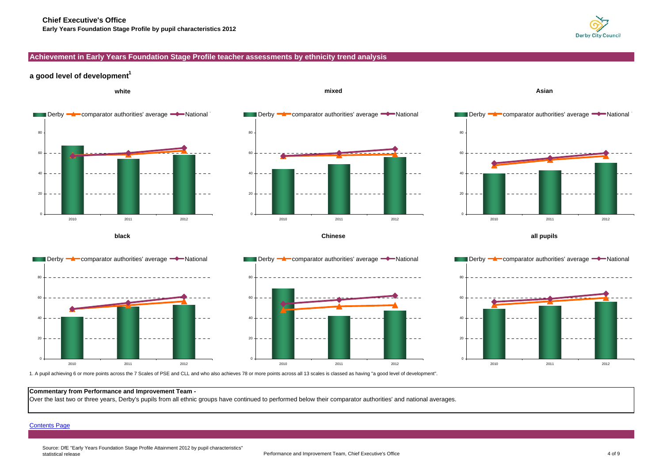

# <span id="page-3-0"></span>**Achievement in Early Years Foundation Stage Profile teacher assessments by ethnicity trend analysis**

# **a good level of development<sup>1</sup>**



1. A pupil achieving 6 or more points across the 7 Scales of PSE and CLL and who also achieves 78 or more points across all 13 scales is classed as having "a good level of development".

### **Commentary from Performance and Improvement Team -**

Over the last two or three years, Derby's pupils from all ethnic groups have continued to performed below their comparator authorities' and national averages.

### [Contents Page](#page-1-0)

Source: DfE "Early Years Foundation Stage Profile Attainment 2012 by pupil characteristics" statistical release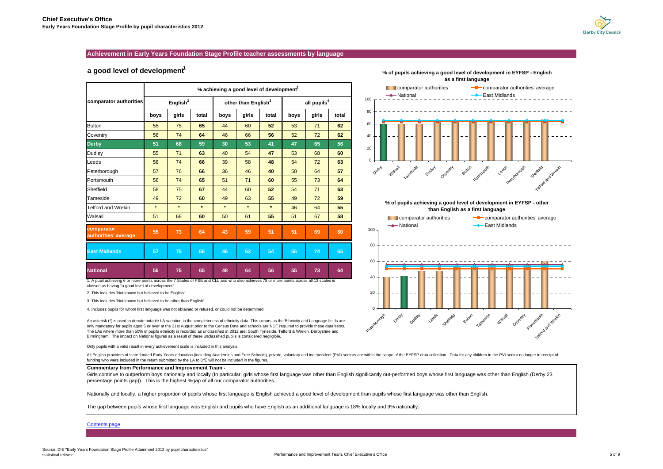

#### <span id="page-4-0"></span>**Achievement in Early Years Foundation Stage Profile teacher assessments by language**

### a good level of development<sup>1</sup>

|                                                                                                                                                             | % achieving a good level of development <sup>1</sup> |             |         |         |                                 |         |                         |       |       |  |  |  |  |  |
|-------------------------------------------------------------------------------------------------------------------------------------------------------------|------------------------------------------------------|-------------|---------|---------|---------------------------------|---------|-------------------------|-------|-------|--|--|--|--|--|
| comparator authorities                                                                                                                                      |                                                      | English $2$ |         |         | other than English <sup>3</sup> |         | all pupils <sup>4</sup> |       |       |  |  |  |  |  |
|                                                                                                                                                             | boys                                                 | girls       | total   | boys    | girls                           | total   | boys                    | girls | total |  |  |  |  |  |
| <b>Bolton</b>                                                                                                                                               | 55                                                   | 75          | 65      | 44      | 60                              | 52      | 53                      | 71    | 62    |  |  |  |  |  |
| Coventry                                                                                                                                                    | 56                                                   | 74          | 64      | 46      | 66                              | 56      | 52                      | 72    | 62    |  |  |  |  |  |
| <b>Derby</b>                                                                                                                                                | 51                                                   | 68          | 59      | 30      | 53                              | 41      | 47                      | 65    | 56    |  |  |  |  |  |
| <b>Dudley</b>                                                                                                                                               | 55                                                   | 71          | 63      | 40      | 54                              | 47      | 53                      | 68    | 60    |  |  |  |  |  |
| Leeds                                                                                                                                                       | 58                                                   | 74          | 66      | 39      | 58                              | 48      | 54                      | 72    | 63    |  |  |  |  |  |
| Peterborough                                                                                                                                                | 57                                                   | 76          | 66      | 36      | 46                              | 40      | 50                      | 64    | 57    |  |  |  |  |  |
| Portsmouth                                                                                                                                                  | 56                                                   | 74          | 65      | 51      | 71                              | 60      | 55                      | 73    | 64    |  |  |  |  |  |
| Sheffield                                                                                                                                                   | 58                                                   | 75          | 67      | 44      | 60                              | 52      | 54                      | 71    | 63    |  |  |  |  |  |
| Tameside                                                                                                                                                    | 49                                                   | 72          | 60      | 49      | 63                              | 55      | 49                      | 72    | 59    |  |  |  |  |  |
| <b>Telford and Wrekin</b>                                                                                                                                   | $\star$                                              | $\star$     | $\star$ | $\star$ | $\star$                         | $\star$ | 46                      | 64    | 55    |  |  |  |  |  |
| Walsall                                                                                                                                                     | 51                                                   | 68          | 60      | 50      | 61                              | 55      | 51                      | 67    | 58    |  |  |  |  |  |
| comparator<br>authorities' average                                                                                                                          | 55                                                   | 73          | 64      | 43      | 59                              | 51      | 51                      | 69    | 60    |  |  |  |  |  |
| <b>East Midlands</b>                                                                                                                                        | 57                                                   | 75          | 66      | 46      | 62                              | 54      | 56                      | 74    | 65    |  |  |  |  |  |
| <b>National</b><br>1. A nupil achieving 6 or more points across the 7 Scales of PSF and CLL and who also achieves 78 or more points across all 13 scales is | 56                                                   | 75          | 65      | 48      | 64                              | 56      | 55                      | 73    | 64    |  |  |  |  |  |

1. A pupil achieving 6 or more points across the 7 Scales of PSE and CLL and who also achieves 78 or more points across all 13 scales is classed as having "a good level of development".

2. This includes 'Not known but believed to be English'

3. This includes 'Not known but believed to be other than English'

4. Includes pupils for whom first language was not obtained or refused, or could not be determined

An asterisk (\*) is used to denote notable LA variation in the completeness of ethnicity data. This occurs as the Ethnicity and Language fields are only mandatory for pupils aged 5 or over at the 31st August prior to the Census Date and schools are NOT required to provide these data items. The LAs where more than 50% of pupils ethnicity is recorded as unclassified in 2012 are: South Tyneside, Telford & Wrekin, Derbyshire and Birmingham. The impact on National figures as a result of these unclassified pupils is considered negligible.

Only pupils with a valid result in every achievement scale is included in this analysis

All English providers of state-funded Early Years education (including Academies and Free Schools), private, voluntary and independent (PVI) sectors are within the scope of the EYFSP data collection. Data for any children funding who were included in the return submitted by the LA to DfE will not be included in the figures.

#### **Commentary from Performance and Improvement Team -**

Girls continue to outperform boys nationally and locally (In particular, girls whose first language was other than English significantly out-performed boys whose first language was other than English (Derby 23 percentage points gap)). This is the highest %gap of all our comparator authorities.

Nationally and locally, a higher proportion of pupils whose first language is English achieved a good level of development than pupils whose first language was other than English.

The gap between pupils whose first language was English and pupils who have English as an additional language is 18% locally and 9% nationally.

#### [Contents page](#page-1-0)



**% of pupils achieving a good level of development in EYFSP - English** 

**% of pupils achieving a good level of development in EYFSP - other than English as a first language**

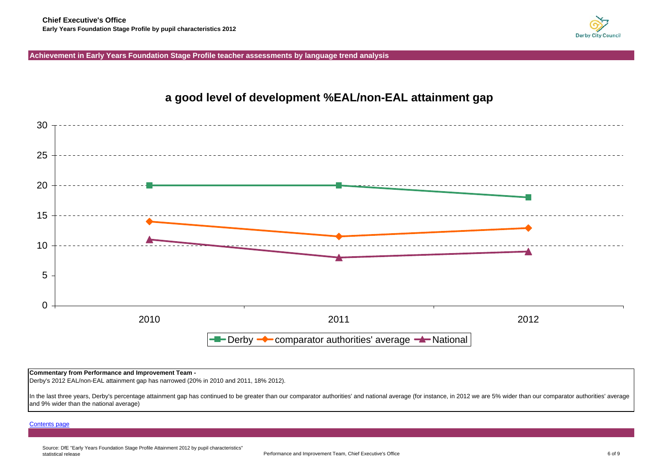

# <span id="page-5-0"></span>**Achievement in Early Years Foundation Stage Profile teacher assessments by language trend analysis**



## **Commentary from Performance and Improvement Team -**

Derby's 2012 EAL/non-EAL attainment gap has narrowed (20% in 2010 and 2011, 18% 2012).

In the last three years, Derby's percentage attainment gap has continued to be greater than our comparator authorities' and national average (for instance, in 2012 we are 5% wider than our comparator authorities' average and 9% wider than the national average)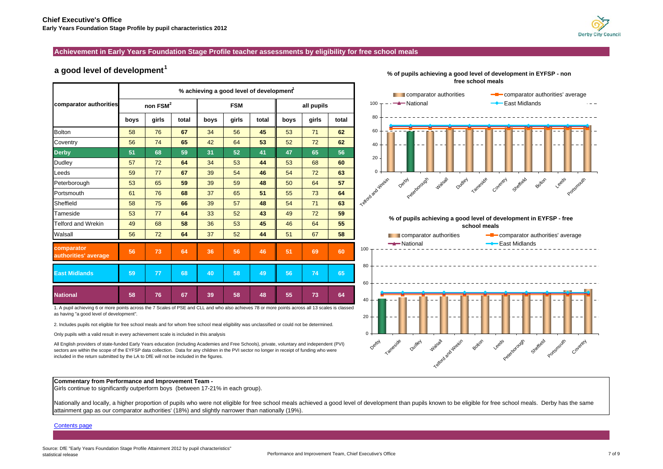### <span id="page-6-0"></span>**Achievement in Early Years Foundation Stage Profile teacher assessments by eligibility for free school meals**

# **a good level of development<sup>1</sup>**

|                                    |      |            |       |      | % achieving a good level of development <sup>1</sup> |       |      |            |       |
|------------------------------------|------|------------|-------|------|------------------------------------------------------|-------|------|------------|-------|
| comparator authorities             |      | non $FSM2$ |       |      | <b>FSM</b>                                           |       |      | all pupils |       |
|                                    | boys | girls      | total | boys | girls                                                | total | boys | girls      | total |
| <b>Bolton</b>                      | 58   | 76         | 67    | 34   | 56                                                   | 45    | 53   | 71         | 62    |
| Coventry                           | 56   | 74         | 65    | 42   | 64                                                   | 53    | 52   | 72         | 62    |
| <b>Derby</b>                       | 51   | 68         | 59    | 31   | 52                                                   | 41    | 47   | 65         | 56    |
| Dudley                             | 57   | 72         | 64    | 34   | 53                                                   | 44    | 53   | 68         | 60    |
| Leeds                              | 59   | 77         | 67    | 39   | 54                                                   | 46    | 54   | 72         | 63    |
| Peterborough                       | 53   | 65         | 59    | 39   | 59                                                   | 48    | 50   | 64         | 57    |
| Portsmouth                         | 61   | 76         | 68    | 37   | 65                                                   | 51    | 55   | 73         | 64    |
| Sheffield                          | 58   | 75         | 66    | 39   | 57                                                   | 48    | 54   | 71         | 63    |
| Tameside                           | 53   | 77         | 64    | 33   | 52                                                   | 43    | 49   | 72         | 59    |
| <b>Telford and Wrekin</b>          | 49   | 68         | 58    | 36   | 53                                                   | 45    | 46   | 64         | 55    |
| Walsall                            | 56   | 72         | 64    | 37   | 52                                                   | 44    | 51   | 67         | 58    |
| comparator<br>authorities' average | 56   | 73         | 64    | 36   | 56                                                   | 46    | 51   | 69         | 60    |
| <b>East Midlands</b>               | 59   | 77         | 68    | 40   | 58                                                   | 49    | 56   | 74         | 65    |
| <b>National</b>                    | 58   | 76         | 67    | 39   | 58                                                   | 48    | 55   | 73         | 64    |

1. A pupil achieving 6 or more points across the 7 Scales of PSE and CLL and who also achieves 78 or more points across all 13 scales is classed as having "a good level of development".

2. Includes pupils not eligible for free school meals and for whom free school meal eligibility was unclassified or could not be determined.

Only pupils with a valid result in every achievement scale is included in this analysis

All English providers of state-funded Early Years education (including Academies and Free Schools), private, voluntary and independent (PVI) sectors are within the scope of the EYFSP data collection. Data for any children in the PVI sector no longer in receipt of funding who were included in the return submitted by the LA to DfE will not be included in the figures.

### **Commentary from Performance and Improvement Team -**

Girls continue to significantly outperform boys (between 17-21% in each group).

Nationally and locally, a higher proportion of pupils who were not eligible for free school meals achieved a good level of development than pupils known to be eligible for free school meals. Derby has the same attainment gap as our comparator authorities' (18%) and slightly narrower than nationally (19%).

#### [Contents page](#page-1-0)





**% of pupils achieving a good level of development in EYFSP - non free school meals**

comparator authorities **-** comparator authorities' average

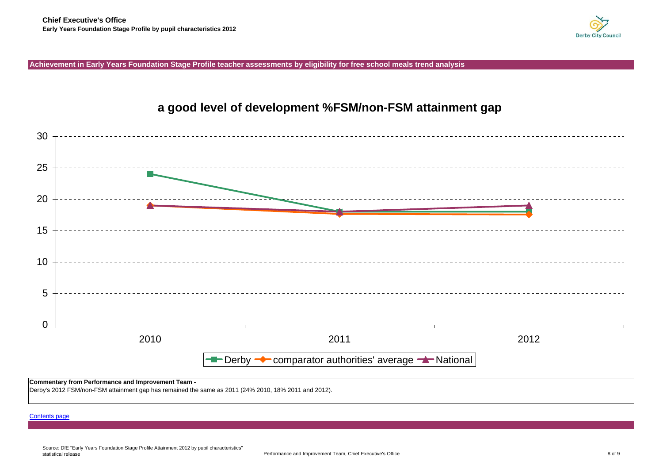

<span id="page-7-0"></span>**Achievement in Early Years Foundation Stage Profile teacher assessments by eligibility for free school meals trend analysis**



# **a good level of development %FSM/non-FSM attainment gap**

**Commentary from Performance and Improvement Team -** 

Derby's 2012 FSM/non-FSM attainment gap has remained the same as 2011 (24% 2010, 18% 2011 and 2012).